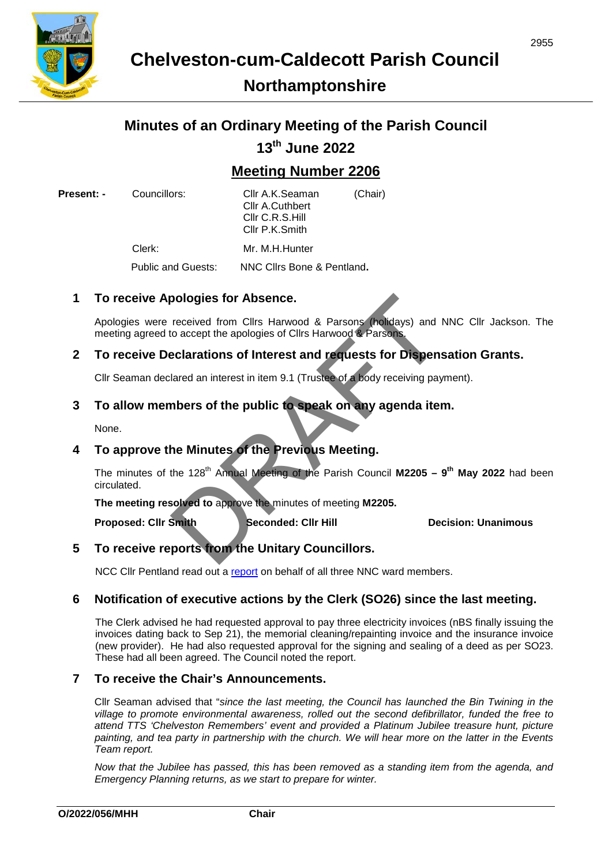

# **Northamptonshire**

# **Minutes of an Ordinary Meeting of the Parish Council 13th June 2022**

# **Meeting Number 2206**

**Present:** - Councillors: Cllr A.K.Seaman (Chair) Cllr A.Cuthbert Cllr C.R.S.Hill Cllr P.K.Smith<br>Clerk: Mr M H Hunte Mr. M.H.Hunter

Public and Guests: NNC Cllrs Bone & Pentland**.** 

## **1 To receive Apologies for Absence.**

Apologies were received from Cllrs Harwood & Parsons (holidays) and NNC Cllr Jackson. The meeting agreed to accept the apologies of Cllrs Harwood & Parsons. prologies for Absence.<br>
received from Cllrs Harwood & Parsons (holidays) and<br>
to accept the apologies of Cllrs Harwood & Parsons.<br>
eclarations of Interest and requests for Dispension-<br>
lared an interest in item 9.1 (Truste

## **2 To receive Declarations of Interest and requests for Dispensation Grants.**

Cllr Seaman declared an interest in item 9.1 (Trustee of a body receiving payment).

## **3 To allow members of the public to speak on any agenda item.**

None.

### **4 To approve the Minutes of the Previous Meeting.**

The minutes of the 128<sup>th</sup> Annual Meeting of the Parish Council  $M2205 - 9$ <sup>th</sup> May 2022 had been circulated.

**The meeting resolved to** approve the minutes of meeting **M2205.**

**Proposed: Cllr Smith Seconded: Cllr Hill Seconded: Cllr Bill Decision: Unanimous** 

# **5 To receive reports from the Unitary Councillors.**

NCC Cllr Pentland read out a [report](https://www.chelveston-pc.gov.uk/uploads/report-to-chelveston-cum-caldecott-parish-council-090522.pdf?v=1652114547) on behalf of all three NNC ward members.

# **6 Notification of executive actions by the Clerk (SO26) since the last meeting.**

The Clerk advised he had requested approval to pay three electricity invoices (nBS finally issuing the invoices dating back to Sep 21), the memorial cleaning/repainting invoice and the insurance invoice (new provider). He had also requested approval for the signing and sealing of a deed as per SO23. These had all been agreed. The Council noted the report.

### **7 To receive the Chair's Announcements.**

Cllr Seaman advised that "*since the last meeting, the Council has launched the Bin Twining in the village to promote environmental awareness, rolled out the second defibrillator, funded the free to attend TTS 'Chelveston Remembers' event and provided a Platinum Jubilee treasure hunt, picture painting, and tea party in partnership with the church. We will hear more on the latter in the Events Team report.*

*Now that the Jubilee has passed, this has been removed as a standing item from the agenda, and Emergency Planning returns, as we start to prepare for winter.*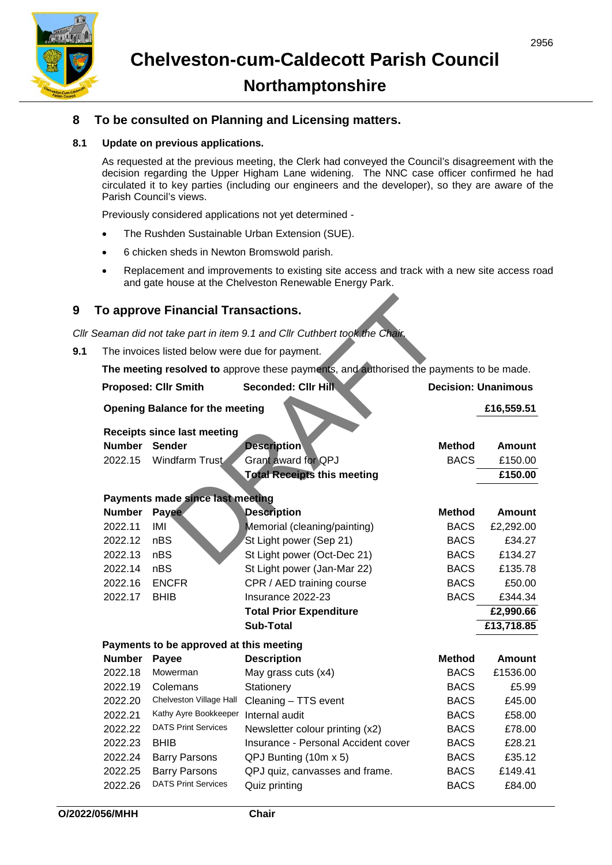

## **8 To be consulted on Planning and Licensing matters.**

### **8.1 Update on previous applications.**

As requested at the previous meeting, the Clerk had conveyed the Council's disagreement with the decision regarding the Upper Higham Lane widening. The NNC case officer confirmed he had circulated it to key parties (including our engineers and the developer), so they are aware of the Parish Council's views.

Previously considered applications not yet determined -

- The Rushden Sustainable Urban Extension (SUE).
- 6 chicken sheds in Newton Bromswold parish.
- Replacement and improvements to existing site access and track with a new site access road and gate house at the Chelveston Renewable Energy Park.

### **9 To approve Financial Transactions.**

*Cllr Seaman did not take part in item 9.1 and Cllr Cuthbert took the Chair.*

**9.1** The invoices listed below were due for payment.

|               | <b>To approve Financial Transactions.</b>       |                                                                                         |                            |               |
|---------------|-------------------------------------------------|-----------------------------------------------------------------------------------------|----------------------------|---------------|
|               |                                                 | Seaman did not take part in item 9.1 and CIIr Cuthbert took the Chair.                  |                            |               |
|               | The invoices listed below were due for payment. |                                                                                         |                            |               |
|               |                                                 |                                                                                         |                            |               |
|               |                                                 | The meeting resolved to approve these payments, and authorised the payments to be made. |                            |               |
|               | <b>Proposed: Cllr Smith</b>                     | <b>Seconded: Cllr Hill</b>                                                              | <b>Decision: Unanimous</b> |               |
|               | <b>Opening Balance for the meeting</b>          |                                                                                         |                            | £16,559.51    |
|               | <b>Receipts since last meeting</b>              |                                                                                         |                            |               |
| Number Sender |                                                 | <b>Description</b>                                                                      | <b>Method</b>              | <b>Amount</b> |
| 2022.15       | Windfarm Trust                                  | Grant award for QPJ                                                                     | <b>BACS</b>                | £150.00       |
|               |                                                 | <b>Total Receipts this meeting</b>                                                      |                            | £150.00       |
|               | Payments made since last meeting                |                                                                                         |                            |               |
| <b>Number</b> | Payee                                           | <b>Description</b>                                                                      | <b>Method</b>              | <b>Amount</b> |
| 2022.11       | IMI                                             | Memorial (cleaning/painting)                                                            | <b>BACS</b>                | £2,292.00     |
| 2022.12       | nBS                                             | St Light power (Sep 21)                                                                 | <b>BACS</b>                | £34.27        |
| 2022.13       | <b>nBS</b>                                      | St Light power (Oct-Dec 21)                                                             | <b>BACS</b>                | £134.27       |
| 2022.14       | nBS                                             | St Light power (Jan-Mar 22)                                                             | <b>BACS</b>                | £135.78       |
| 2022.16       | <b>ENCFR</b>                                    | CPR / AED training course                                                               | <b>BACS</b>                | £50.00        |
| 2022.17       | <b>BHIB</b>                                     | Insurance 2022-23                                                                       | <b>BACS</b>                | £344.34       |
|               |                                                 | <b>Total Prior Expenditure</b>                                                          |                            | £2,990.66     |
|               |                                                 | <b>Sub-Total</b>                                                                        |                            | £13,718.85    |
|               | Payments to be approved at this meeting         |                                                                                         |                            |               |
| <b>Number</b> | Payee                                           | <b>Description</b>                                                                      | <b>Method</b>              | <b>Amount</b> |
| 2022.18       | Mowerman                                        | May grass cuts (x4)                                                                     | <b>BACS</b>                | £1536.00      |
| 2022.19       | Colemans                                        | Stationery                                                                              | <b>BACS</b>                | £5.99         |
| 2022.20       | Chelveston Village Hall                         | Cleaning - TTS event                                                                    | <b>BACS</b>                | £45.00        |
| 2022.21       | Kathy Ayre Bookkeeper                           | Internal audit                                                                          | <b>BACS</b>                | £58.00        |
| 2022.22       | <b>DATS Print Services</b>                      | Newsletter colour printing (x2)                                                         | <b>BACS</b>                | £78.00        |
| 2022.23       | <b>BHIB</b>                                     | Insurance - Personal Accident cover                                                     | <b>BACS</b>                | £28.21        |
| 2022.24       | <b>Barry Parsons</b>                            | QPJ Bunting (10m x 5)                                                                   | <b>BACS</b>                | £35.12        |
| 2022.25       | <b>Barry Parsons</b>                            | QPJ quiz, canvasses and frame.                                                          | <b>BACS</b>                | £149.41       |
| 2022.26       | <b>DATS Print Services</b>                      | Quiz printing                                                                           | <b>BACS</b>                | £84.00        |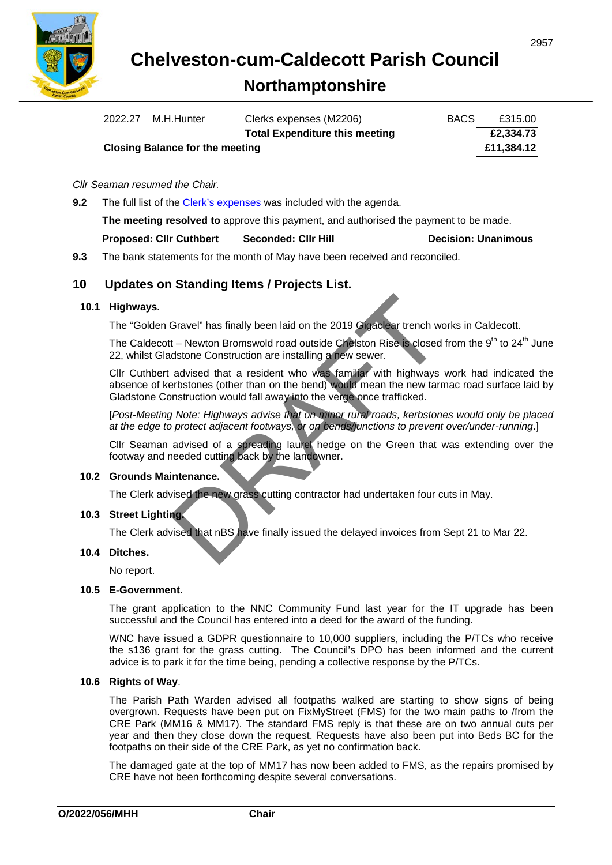

# **Northamptonshire**

| 2022.27                                | M.H.Hunter | Clerks expenses (M2206)               | <b>BACS</b> | £315.00    |
|----------------------------------------|------------|---------------------------------------|-------------|------------|
|                                        |            | <b>Total Expenditure this meeting</b> |             | £2,334.73  |
| <b>Closing Balance for the meeting</b> |            |                                       |             | £11.384.12 |

### *Cllr Seaman resumed the Chair.*

**9.2** The full list of the [Clerk's expenses](https://www.chelveston-pc.gov.uk/uploads/a2206-item-9-2.pdf?v=1654900695) was included with the agenda.

**The meeting resolved to** approve this payment, and authorised the payment to be made.

| <b>Proposed: Cllr Cuthbert</b> | <b>Seconded: CIIr Hill</b> | <b>Decision: Unanimous</b> |
|--------------------------------|----------------------------|----------------------------|

**9.3** The bank statements for the month of May have been received and reconciled.

### **10 Updates on Standing Items / Projects List.**

### **10.1 Highways.**

The "Golden Gravel" has finally been laid on the 2019 Gigaclear trench works in Caldecott.

The Caldecott – Newton Bromswold road outside Chelston Rise is closed from the  $9<sup>th</sup>$  to 24<sup>th</sup> June 22, whilst Gladstone Construction are installing a new sewer.

Cllr Cuthbert advised that a resident who was familiar with highways work had indicated the absence of kerbstones (other than on the bend) would mean the new tarmac road surface laid by Gladstone Construction would fall away into the verge once trafficked. Gravel" has finally been laid on the 2019 Gigaclear trench w<br>
t – Newton Bromswold road outside Chelston Rise is closed<br>
dstone Construction are installing a new sewer.<br>
advised that a resident who was familiar with highwa

[*Post-Meeting Note: Highways advise that on minor rural roads, kerbstones would only be placed at the edge to protect adjacent footways, or on bends/junctions to prevent over/under-running*.]

Cllr Seaman advised of a spreading laurel hedge on the Green that was extending over the footway and needed cutting back by the landowner.

### **10.2 Grounds Maintenance.**

The Clerk advised the new grass cutting contractor had undertaken four cuts in May.

### **10.3 Street Lighting.**

The Clerk advised that nBS have finally issued the delayed invoices from Sept 21 to Mar 22.

### **10.4 Ditches.**

No report.

### **10.5 E-Government.**

The grant application to the NNC Community Fund last year for the IT upgrade has been successful and the Council has entered into a deed for the award of the funding.

WNC have issued a GDPR questionnaire to 10,000 suppliers, including the P/TCs who receive the s136 grant for the grass cutting. The Council's DPO has been informed and the current advice is to park it for the time being, pending a collective response by the P/TCs.

### **10.6 Rights of Way**.

The Parish Path Warden advised all footpaths walked are starting to show signs of being overgrown. Requests have been put on FixMyStreet (FMS) for the two main paths to /from the CRE Park (MM16 & MM17). The standard FMS reply is that these are on two annual cuts per year and then they close down the request. Requests have also been put into Beds BC for the footpaths on their side of the CRE Park, as yet no confirmation back.

The damaged gate at the top of MM17 has now been added to FMS, as the repairs promised by CRE have not been forthcoming despite several conversations.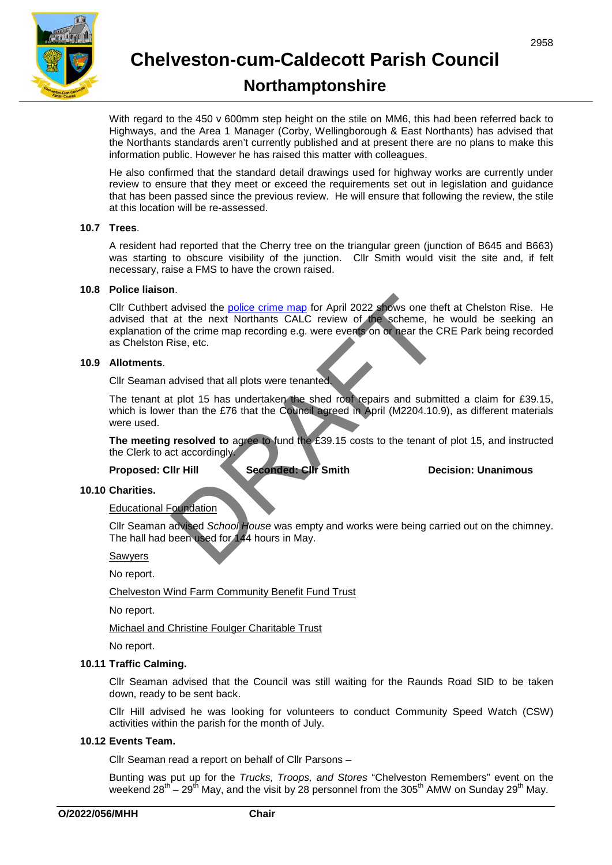

# **Northamptonshire**

With regard to the 450 y 600mm step height on the stile on MM6, this had been referred back to Highways, and the Area 1 Manager (Corby, Wellingborough & East Northants) has advised that the Northants standards aren't currently published and at present there are no plans to make this information public. However he has raised this matter with colleagues.

He also confirmed that the standard detail drawings used for highway works are currently under review to ensure that they meet or exceed the requirements set out in legislation and guidance that has been passed since the previous review. He will ensure that following the review, the stile at this location will be re-assessed.

#### **10.7 Trees**.

A resident had reported that the Cherry tree on the triangular green (junction of B645 and B663) was starting to obscure visibility of the junction. Cllr Smith would visit the site and, if felt necessary, raise a FMS to have the crown raised.

#### **10.8 Police liaison**.

Cllr Cuthbert advised the police crime map for April 2022 shows one theft at Chelston Rise. He advised that at the next Northants CALC review of the scheme, he would be seeking an explanation of the crime map recording e.g. were events on or near the CRE Park being recorded as Chelston Rise, etc. The advised the <u>police crime map</u> for April 2022 shows one the<br>at the next Northants CALC review of the scheme, he<br>f the crime map recording e.g. were events on or hear the C<br>Rise, etc.<br>advised that all plots were tenante

#### **10.9 Allotments**.

Cllr Seaman advised that all plots were tenanted.

The tenant at plot 15 has undertaken the shed roof repairs and submitted a claim for £39.15, which is lower than the £76 that the Council agreed in April (M2204.10.9), as different materials were used.

**The meeting resolved to** agree to fund the £39.15 costs to the tenant of plot 15, and instructed the Clerk to act accordingly.

**Proposed: Cllr Hill Seconded: Cllr Smith Decision: Unanimous** 

### **10.10 Charities.**

Educational Foundation

Cllr Seaman advised *School House* was empty and works were being carried out on the chimney. The hall had been used for 144 hours in May.

**Sawyers** 

No report.

Chelveston Wind Farm Community Benefit Fund Trust

No report.

Michael and Christine Foulger Charitable Trust

No report.

### **10.11 Traffic Calming.**

Cllr Seaman advised that the Council was still waiting for the Raunds Road SID to be taken down, ready to be sent back.

Cllr Hill advised he was looking for volunteers to conduct Community Speed Watch (CSW) activities within the parish for the month of July.

### **10.12 Events Team.**

Cllr Seaman read a report on behalf of Cllr Parsons –

Bunting was put up for the *Trucks, Troops, and Stores* "Chelveston Remembers" event on the weekend  $28^{th}$  –  $29^{th}$  May, and the visit by 28 personnel from the 305<sup>th</sup> AMW on Sunday 29<sup>th</sup> May.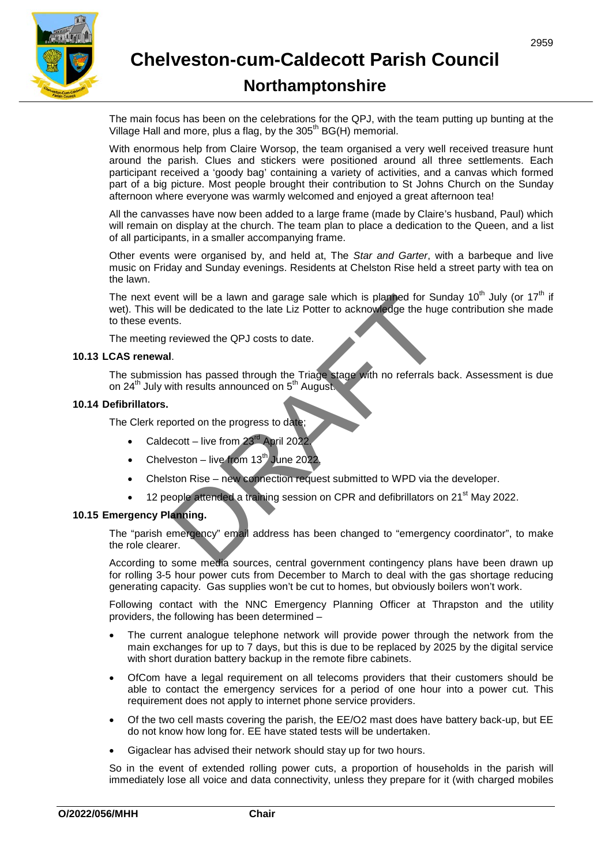

# **Northamptonshire**

The main focus has been on the celebrations for the QPJ, with the team putting up bunting at the Village Hall and more, plus a flag, by the  $305<sup>th</sup> BG(H)$  memorial.

With enormous help from Claire Worsop, the team organised a very well received treasure hunt around the parish. Clues and stickers were positioned around all three settlements. Each participant received a 'goody bag' containing a variety of activities, and a canvas which formed part of a big picture. Most people brought their contribution to St Johns Church on the Sunday afternoon where everyone was warmly welcomed and enjoyed a great afternoon tea!

All the canvasses have now been added to a large frame (made by Claire's husband, Paul) which will remain on display at the church. The team plan to place a dedication to the Queen, and a list of all participants, in a smaller accompanying frame.

Other events were organised by, and held at, The *Star and Garter*, with a barbeque and live music on Friday and Sunday evenings. Residents at Chelston Rise held a street party with tea on the lawn.

The next event will be a lawn and garage sale which is planned for Sunday 10<sup>th</sup> July (or 17<sup>th</sup> if wet). This will be dedicated to the late Liz Potter to acknowledge the huge contribution she made to these events. In the vill be a lawn and garage sale which is planted for Su<br>the dedicated to the late Liz Potter to acknowledge the hug<br>ts.<br>teviewed the QPJ costs to date.<br><br><br><br><br>on has passed through the Triage stage with no referrals b<br>i

The meeting reviewed the QPJ costs to date.

#### **10.13 LCAS renewal**.

The submission has passed through the Triage stage with no referrals back. Assessment is due on 24<sup>th</sup> July with results announced on 5<sup>th</sup> August.

#### **10.14 Defibrillators.**

The Clerk reported on the progress to date

- Caldecott live from 23rd April 2022.
- Chelveston live from  $13<sup>th</sup>$  June 2022
- Chelston Rise new connection request submitted to WPD via the developer.
- 12 people attended a training session on CPR and defibrillators on 21<sup>st</sup> May 2022.

### **10.15 Emergency Planning.**

The "parish emergency" email address has been changed to "emergency coordinator", to make the role clearer.

According to some media sources, central government contingency plans have been drawn up for rolling 3-5 hour power cuts from December to March to deal with the gas shortage reducing generating capacity. Gas supplies won't be cut to homes, but obviously boilers won't work.

Following contact with the NNC Emergency Planning Officer at Thrapston and the utility providers, the following has been determined –

- The current analogue telephone network will provide power through the network from the main exchanges for up to 7 days, but this is due to be replaced by 2025 by the digital service with short duration battery backup in the remote fibre cabinets.
- OfCom have a legal requirement on all telecoms providers that their customers should be able to contact the emergency services for a period of one hour into a power cut. This requirement does not apply to internet phone service providers.
- Of the two cell masts covering the parish, the EE/O2 mast does have battery back-up, but EE do not know how long for. EE have stated tests will be undertaken.
- Gigaclear has advised their network should stay up for two hours.

So in the event of extended rolling power cuts, a proportion of households in the parish will immediately lose all voice and data connectivity, unless they prepare for it (with charged mobiles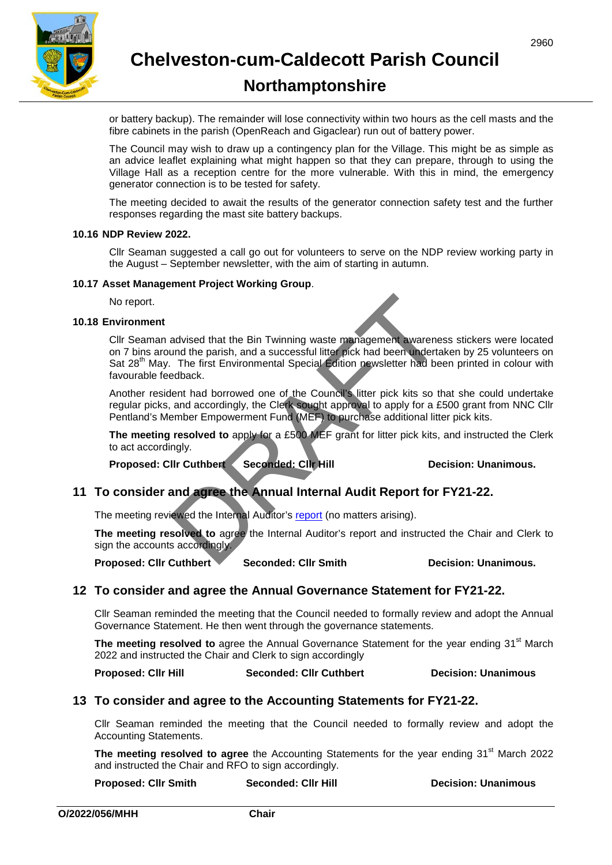

# **Northamptonshire**

or battery backup). The remainder will lose connectivity within two hours as the cell masts and the fibre cabinets in the parish (OpenReach and Gigaclear) run out of battery power.

The Council may wish to draw up a contingency plan for the Village. This might be as simple as an advice leaflet explaining what might happen so that they can prepare, through to using the Village Hall as a reception centre for the more vulnerable. With this in mind, the emergency generator connection is to be tested for safety.

The meeting decided to await the results of the generator connection safety test and the further responses regarding the mast site battery backups.

#### **10.16 NDP Review 2022.**

Cllr Seaman suggested a call go out for volunteers to serve on the NDP review working party in the August – September newsletter, with the aim of starting in autumn.

### **10.17 Asset Management Project Working Group**.

No report.

### **10.18 Environment**

Cllr Seaman advised that the Bin Twinning waste management awareness stickers were located on 7 bins around the parish, and a successful litter pick had been undertaken by 25 volunteers on Sat 28<sup>th</sup> May. The first Environmental Special Edition newsletter had been printed in colour with favourable feedback. advised that the Bin Twinning waste management awarene<br>
and the parish, and a successful litter pick had been underta<br>
The first Environmental Special Edition newsletter had be<br>
edited that borrowed one of the Council's li

Another resident had borrowed one of the Council's litter pick kits so that she could undertake regular picks, and accordingly, the Clerk sought approval to apply for a £500 grant from NNC Cllr Pentland's Member Empowerment Fund (MEF) to purchase additional litter pick kits.

**The meeting resolved to** apply for a £500 MEF grant for litter pick kits, and instructed the Clerk to act accordingly.

**Proposed: Cllr Cuthbert / Seconded: Cllr Hill Decision: Unanimous.** 

### **11 To consider and agree the Annual Internal Audit Report for FY21-22.**

The meeting reviewed the Internal Auditor's report (no matters arising).

**The meeting resolved to** agree the Internal Auditor's report and instructed the Chair and Clerk to sign the accounts accordingly.

**Proposed: Cllr Cuthbert Seconded: Cllr Smith Decision: Unanimous.** 

### **12 To consider and agree the Annual Governance Statement for FY21-22.**

Cllr Seaman reminded the meeting that the Council needed to formally review and adopt the Annual Governance Statement. He then went through the governance statements.

**The meeting resolved to** agree the Annual Governance Statement for the year ending 31<sup>st</sup> March 2022 and instructed the Chair and Clerk to sign accordingly

**Proposed: Cllr Hill Seconded: Cllr Cuthbert Decision: Unanimous**

### **13 To consider and agree to the Accounting Statements for FY21-22.**

Cllr Seaman reminded the meeting that the Council needed to formally review and adopt the Accounting Statements.

The meeting resolved to agree the Accounting Statements for the year ending 31<sup>st</sup> March 2022 and instructed the Chair and RFO to sign accordingly.

| <b>Proposed: Cllr Smith</b> | <b>Seconded: CIIr Hill</b> | <b>Decision: Unanimous</b> |
|-----------------------------|----------------------------|----------------------------|
|-----------------------------|----------------------------|----------------------------|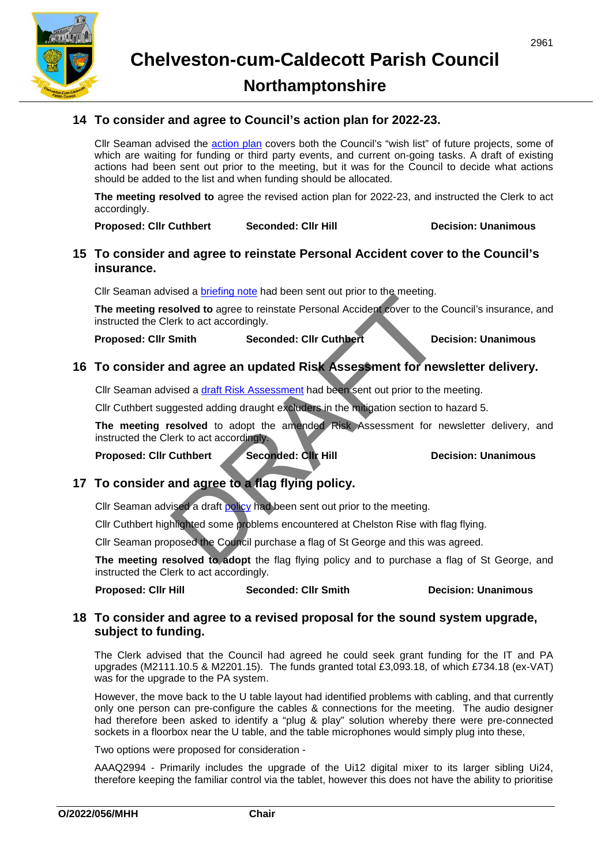

# **Northamptonshire**

## **14 To consider and agree to Council's action plan for 2022-23.**

Cllr Seaman advised the [action plan](https://www.chelveston-pc.gov.uk/uploads/a2206-item-14.pdf?v=1654815584) covers both the Council's "wish list" of future projects, some of which are waiting for funding or third party events, and current on-going tasks. A draft of existing actions had been sent out prior to the meeting, but it was for the Council to decide what actions should be added to the list and when funding should be allocated.

**The meeting resolved to** agree the revised action plan for 2022-23, and instructed the Clerk to act accordingly.

**Proposed: Cllr Cuthbert Seconded: Cllr Hill Seconded: Cllr Becision: Unanimous** 

### **15 To consider and agree to reinstate Personal Accident cover to the Council's insurance.**

Cllr Seaman advised a [briefing note](https://www.chelveston-pc.gov.uk/uploads/o-2022-053e-mhh-agenda-june-2206-item-15.pdf?v=1654513012) had been sent out prior to the meeting.

**The meeting resolved to** agree to reinstate Personal Accident cover to the Council's insurance, and instructed the Clerk to act accordingly.

**Proposed: Cllr Smith Seconded: Cllr Cuthbert Decision: Unanimous**

## **16 To consider and agree an updated Risk Assessment for newsletter delivery.**

Cllr Seaman advised a draft Risk Assessment had been sent out prior to the meeting.

Cllr Cuthbert suggested adding draught excluders in the mitigation section to hazard 5.

**The meeting resolved** to adopt the amended Risk Assessment for newsletter delivery, and instructed the Clerk to act accordingly. Solved to agree to reinstate Personal [A](https://www.chelveston-pc.gov.uk/uploads/a2206-item-16.pdf?v=1654805465)ccident cover to the left to act accordingly.<br>
Solved to agree to reinstate Personal Accident cover to the left to act accordingly.<br>
Deconded: ClIr Cuthbert<br>
and agree an updated Risk

**Proposed: Cllr Cuthbert Seconded: Cllr Hill Seconded: Cleaning Decision: Unanimous** 

### **17 To consider and agree to a flag flying policy.**

Cllr Seaman advised a draft policy had been sent out prior to the meeting.

Cllr Cuthbert highlighted some problems encountered at Chelston Rise with flag flying.

Cllr Seaman proposed the Council purchase a flag of St George and this was agreed.

**The meeting resolved to adopt** the flag flying policy and to purchase a flag of St George, and instructed the Clerk to act accordingly.

**Proposed: Cllr Hill Seconded: Cllr Smith Decision: Unanimous** 

### **18 To consider and agree to a revised proposal for the sound system upgrade, subject to funding.**

The Clerk advised that the Council had agreed he could seek grant funding for the IT and PA upgrades (M2111.10.5 & M2201.15). The funds granted total £3,093.18, of which £734.18 (ex-VAT) was for the upgrade to the PA system.

However, the move back to the U table layout had identified problems with cabling, and that currently only one person can pre-configure the cables & connections for the meeting. The audio designer had therefore been asked to identify a "plug & play" solution whereby there were pre-connected sockets in a floorbox near the U table, and the table microphones would simply plug into these,

Two options were proposed for consideration -

AAAQ2994 - Primarily includes the upgrade of the Ui12 digital mixer to its larger sibling Ui24, therefore keeping the familiar control via the tablet, however this does not have the ability to prioritise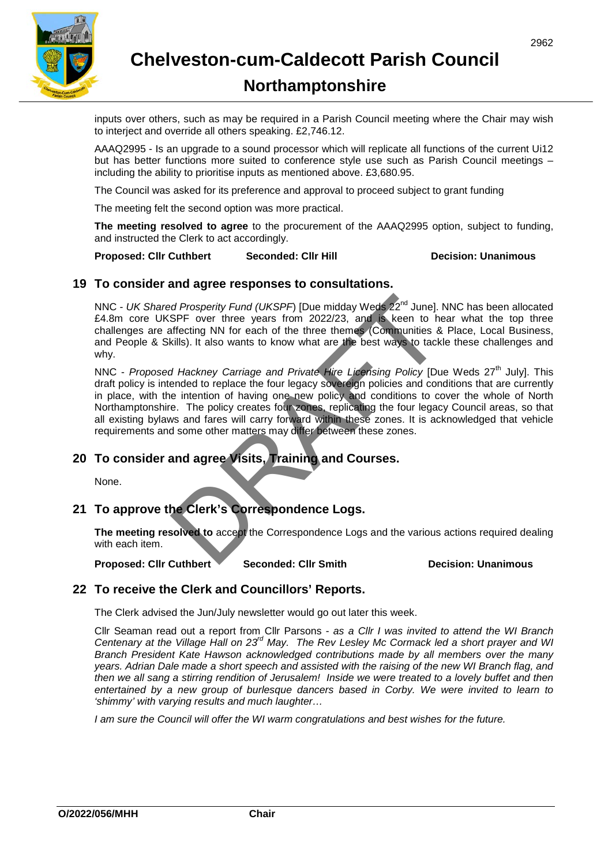

# **Northamptonshire**

inputs over others, such as may be required in a Parish Council meeting where the Chair may wish to interject and override all others speaking. £2,746.12.

AAAQ2995 - Is an upgrade to a sound processor which will replicate all functions of the current Ui12 but has better functions more suited to conference style use such as Parish Council meetings – including the ability to prioritise inputs as mentioned above. £3,680.95.

The Council was asked for its preference and approval to proceed subject to grant funding

The meeting felt the second option was more practical.

**The meeting resolved to agree** to the procurement of the AAAQ2995 option, subject to funding, and instructed the Clerk to act accordingly.

**Proposed: Cllr Cuthbert Seconded: Cllr Hill Consumer Seconded: Cllr Hill Seconded: Cllr Hill Decision: Unanimous** 

### **19 To consider and agree responses to consultations.**

NNC - *UK Shared Prosperity Fund (UKSPF*) [Due midday Weds 22nd June]. NNC has been allocated £4.8m core UKSPF over three years from 2022/23, and is keen to hear what the top three challenges are affecting NN for each of the three themes (Communities & Place, Local Business, and People & Skills). It also wants to know what are the best ways to tackle these challenges and why.

NNC - Proposed Hackney Carriage and Private Hire Licensing Policy [Due Weds 27<sup>th</sup> July]. This draft policy is intended to replace the four legacy sovereign policies and conditions that are currently in place, with the intention of having one new policy and conditions to cover the whole of North Northamptonshire. The policy creates four zones, replicating the four legacy Council areas, so that all existing bylaws and fares will carry forward within these zones. It is acknowledged that vehicle requirements and some other matters may differ between these zones. deprosperity Fund (UKSPF) [Due midday Weds 22<sup>nd</sup> June].<br>
SPF over three years from 2022/23, and is keen to have<br>
diffecting NN for each of the three themes (Communities &<br>
kills). It also wants to know what are the best w

### **20 To consider and agree Visits, Training and Courses.**

None.

### **21 To approve the Clerk's Correspondence Logs.**

**The meeting resolved to** accept the Correspondence Logs and the various actions required dealing with each item.

### **Proposed: Cllr Cuthbert Seconded: Cllr Smith Decision: Unanimous**

### **22 To receive the Clerk and Councillors' Reports.**

The Clerk advised the Jun/July newsletter would go out later this week.

Cllr Seaman read out a report from Cllr Parsons - *as a Cllr I was invited to attend the WI Branch Centenary at the Village Hall on 23rd May. The Rev Lesley Mc Cormack led a short prayer and WI Branch President Kate Hawson acknowledged contributions made by all members over the many years. Adrian Dale made a short speech and assisted with the raising of the new WI Branch flag, and then we all sang a stirring rendition of Jerusalem! Inside we were treated to a lovely buffet and then*  entertained by a new group of burlesque dancers based in Corby. We were invited to learn to *'shimmy' with varying results and much laughter…*

*I am sure the Council will offer the WI warm congratulations and best wishes for the future.*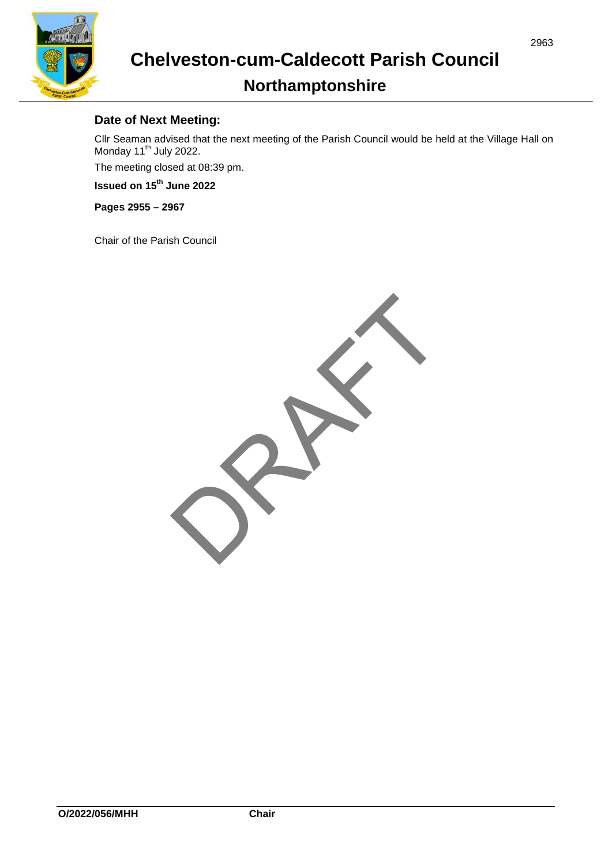

# **Northamptonshire**

# **Date of Next Meeting:**

Cllr Seaman advised that the next meeting of the Parish Council would be held at the Village Hall on Monday 11<sup>th</sup> July 2022.

The meeting closed at 08:39 pm.

**Issued on 15th June 2022**

**Pages 2955 – 2967**

Chair of the Parish Council

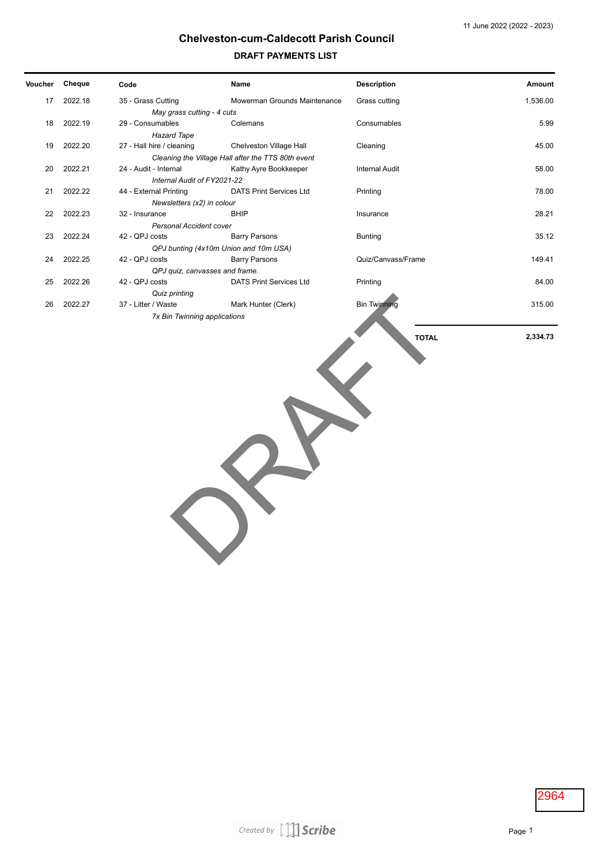#### **DRAFT PAYMENTS LIST**

| <b>Voucher</b> | Cheque  | Code                                  | Name                                               | <b>Description</b>    | Amount   |
|----------------|---------|---------------------------------------|----------------------------------------------------|-----------------------|----------|
| 17             | 2022.18 | 35 - Grass Cutting                    | Mowerman Grounds Maintenance                       | Grass cutting         | 1,536.00 |
|                |         | May grass cutting - 4 cuts            |                                                    |                       |          |
| 18             | 2022.19 | 29 - Consumables                      | Colemans                                           | Consumables           | 5.99     |
|                |         | <b>Hazard Tape</b>                    |                                                    |                       |          |
| 19             | 2022.20 | 27 - Hall hire / cleaning             | Chelveston Village Hall                            | Cleaning              | 45.00    |
|                |         |                                       | Cleaning the Village Hall after the TTS 80th event |                       |          |
| 20             | 2022.21 | 24 - Audit - Internal                 | Kathy Ayre Bookkeeper                              | <b>Internal Audit</b> | 58.00    |
|                |         | Internal Audit of FY2021-22           |                                                    |                       |          |
| 21             | 2022.22 | 44 - External Printing                | <b>DATS Print Services Ltd</b>                     | Printing              | 78.00    |
|                |         | Newsletters (x2) in colour            |                                                    |                       |          |
| 22             | 2022.23 | 32 - Insurance                        | <b>BHIP</b>                                        | Insurance             | 28.21    |
|                |         | Personal Accident cover               |                                                    |                       |          |
| 23             | 2022.24 | 42 - OPJ costs                        | <b>Barry Parsons</b>                               | Bunting               | 35.12    |
|                |         | QPJ bunting (4x10m Union and 10m USA) |                                                    |                       |          |
| 24             | 2022.25 | 42 - QPJ costs                        | <b>Barry Parsons</b>                               | Quiz/Canvass/Frame    | 149.41   |
|                |         | QPJ quiz, canvasses and frame.        |                                                    |                       |          |
| 25             | 2022.26 | 42 - QPJ costs                        | <b>DATS Print Services Ltd</b>                     | Printing              | 84.00    |
|                |         | Quiz printing                         |                                                    |                       |          |
| 26             | 2022.27 | 37 - Litter / Waste                   | Mark Hunter (Clerk)                                | <b>Bin Twinning</b>   | 315.00   |
|                |         | 7x Bin Twinning applications          |                                                    |                       |          |

 $\leq$ 

**TOTAL 2,334.73**

2964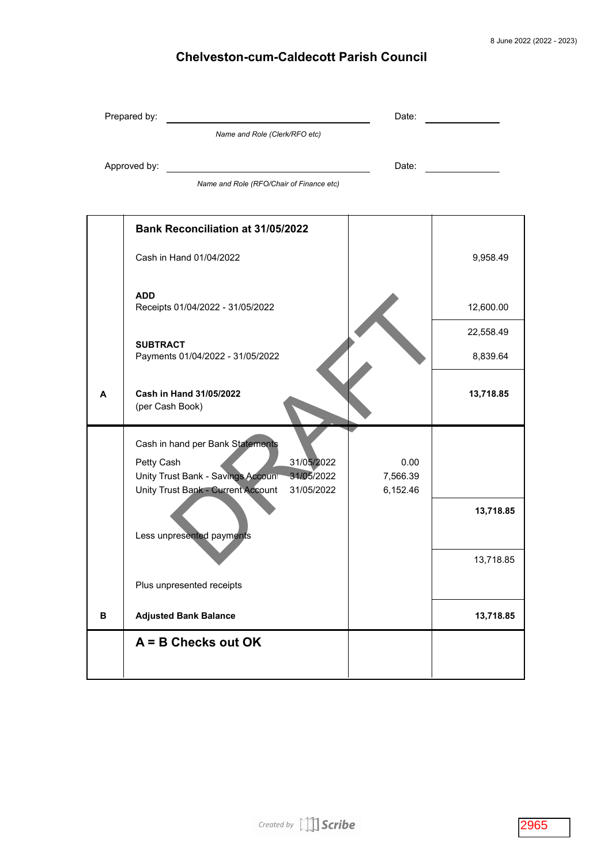|   | Prepared by:                                                                                                                                                        | Date:                        |           |
|---|---------------------------------------------------------------------------------------------------------------------------------------------------------------------|------------------------------|-----------|
|   | Name and Role (Clerk/RFO etc)                                                                                                                                       |                              |           |
|   | Approved by:                                                                                                                                                        | Date:                        |           |
|   | Name and Role (RFO/Chair of Finance etc)                                                                                                                            |                              |           |
|   |                                                                                                                                                                     |                              |           |
|   | <b>Bank Reconciliation at 31/05/2022</b>                                                                                                                            |                              |           |
|   | Cash in Hand 01/04/2022                                                                                                                                             |                              | 9,958.49  |
|   | <b>ADD</b><br>Receipts 01/04/2022 - 31/05/2022                                                                                                                      |                              | 12,600.00 |
|   | <b>SUBTRACT</b>                                                                                                                                                     |                              | 22,558.49 |
|   | Payments 01/04/2022 - 31/05/2022                                                                                                                                    |                              | 8,839.64  |
| A | Cash in Hand 31/05/2022<br>(per Cash Book)                                                                                                                          |                              | 13,718.85 |
|   | Cash in hand per Bank Statements<br>31/05/2022<br>Petty Cash<br>31/05/2022<br>Unity Trust Bank - Savings Accoun<br>Unity Trust Bank - Current Account<br>31/05/2022 | 0.00<br>7,566.39<br>6,152.46 |           |
|   | Less unpresented payments                                                                                                                                           |                              | 13,718.85 |
|   |                                                                                                                                                                     |                              | 13,718.85 |
|   | Plus unpresented receipts                                                                                                                                           |                              |           |
| В | <b>Adjusted Bank Balance</b>                                                                                                                                        |                              | 13,718.85 |
|   | $A = B$ Checks out OK                                                                                                                                               |                              |           |
|   |                                                                                                                                                                     |                              |           |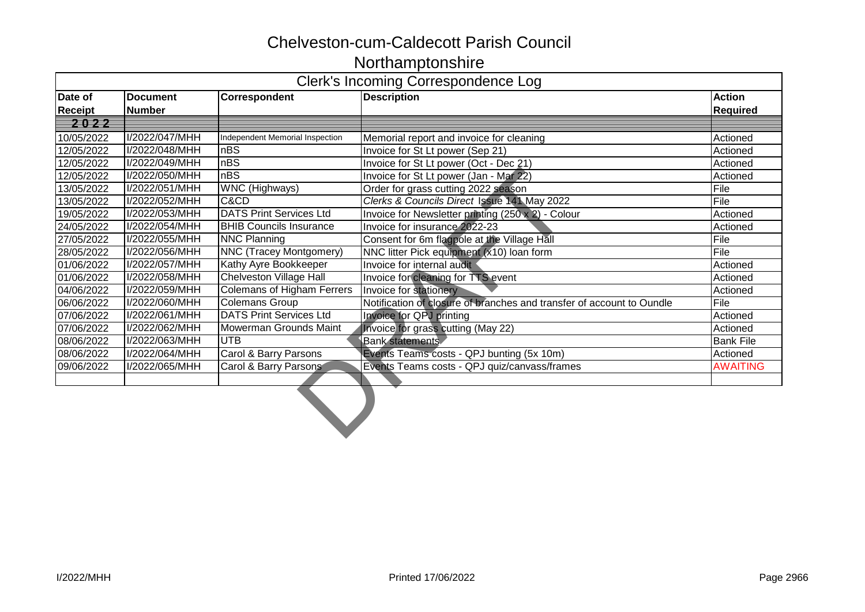# Northamptonshire

| Clerk's Incoming Correspondence Log |                 |                                   |                                                                       |                  |  |
|-------------------------------------|-----------------|-----------------------------------|-----------------------------------------------------------------------|------------------|--|
| Date of                             | <b>Document</b> | Correspondent                     | <b>Description</b>                                                    | <b>Action</b>    |  |
| <b>Receipt</b>                      | <b>Number</b>   |                                   |                                                                       | <b>Required</b>  |  |
| 2022                                |                 |                                   |                                                                       |                  |  |
| 10/05/2022                          | I/2022/047/MHH  | Independent Memorial Inspection   | Memorial report and invoice for cleaning                              | Actioned         |  |
| 12/05/2022                          | I/2022/048/MHH  | nBS                               | Invoice for St Lt power (Sep 21)                                      | Actioned         |  |
| 12/05/2022                          | I/2022/049/MHH  | nBS                               | Invoice for St Lt power (Oct - Dec 21)                                | Actioned         |  |
| 12/05/2022                          | I/2022/050/MHH  | nBS                               | Invoice for St Lt power (Jan - Mar 22)                                | Actioned         |  |
| 13/05/2022                          | I/2022/051/MHH  | <b>WNC</b> (Highways)             | Order for grass cutting 2022 season                                   | File             |  |
| 13/05/2022                          | I/2022/052/MHH  | C&CD                              | Clerks & Councils Direct Issue 141 May 2022                           | File             |  |
| 19/05/2022                          | I/2022/053/MHH  | <b>DATS Print Services Ltd</b>    | Invoice for Newsletter printing (250 x 2) - Colour                    | Actioned         |  |
| 24/05/2022                          | I/2022/054/MHH  | <b>BHIB Councils Insurance</b>    | Invoice for insurance 2022-23                                         | Actioned         |  |
| 27/05/2022                          | I/2022/055/MHH  | <b>NNC Planning</b>               | Consent for 6m flagpole at the Village Hall                           | File             |  |
| 28/05/2022                          | I/2022/056/MHH  | <b>NNC (Tracey Montgomery)</b>    | NNC litter Pick equipment (x10) loan form                             | File             |  |
| 01/06/2022                          | I/2022/057/MHH  | Kathy Ayre Bookkeeper             | Invoice for internal audit                                            | Actioned         |  |
| 01/06/2022                          | I/2022/058/MHH  | <b>Chelveston Village Hall</b>    | Invoice for cleaning for TTS event                                    | Actioned         |  |
| 04/06/2022                          | I/2022/059/MHH  | <b>Colemans of Higham Ferrers</b> | Invoice for stationery                                                | Actioned         |  |
| 06/06/2022                          | I/2022/060/MHH  | <b>Colemans Group</b>             | Notification of closure of branches and transfer of account to Oundle | File             |  |
| 07/06/2022                          | I/2022/061/MHH  | <b>DATS Print Services Ltd</b>    | Invoice for QPJ printing                                              | Actioned         |  |
| 07/06/2022                          | I/2022/062/MHH  | Mowerman Grounds Maint            | Invoice for grass cutting (May 22)                                    | Actioned         |  |
| 08/06/2022                          | I/2022/063/MHH  | <b>UTB</b>                        | <b>Bank statements</b>                                                | <b>Bank File</b> |  |
| 08/06/2022                          | I/2022/064/MHH  | Carol & Barry Parsons             | Events Teams costs - QPJ bunting (5x 10m)                             | Actioned         |  |
| 09/06/2022                          | I/2022/065/MHH  | Carol & Barry Parsons             | Events Teams costs - QPJ quiz/canvass/frames                          | <b>AWAITING</b>  |  |
|                                     |                 |                                   |                                                                       |                  |  |
|                                     |                 |                                   |                                                                       |                  |  |